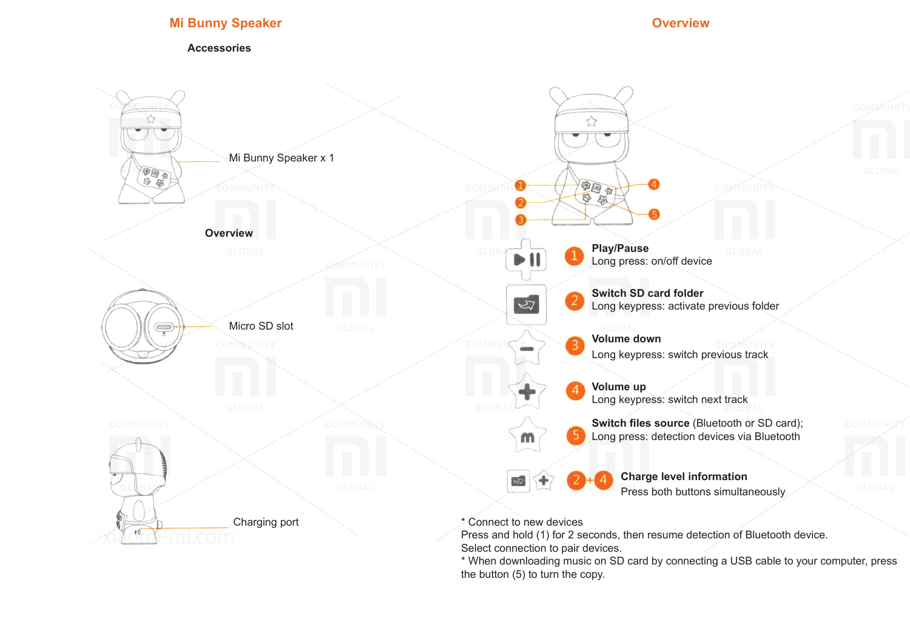## **Mi Bunny Speaker**

## **Overview**

**Accessories**



the button (5) to turn the copy.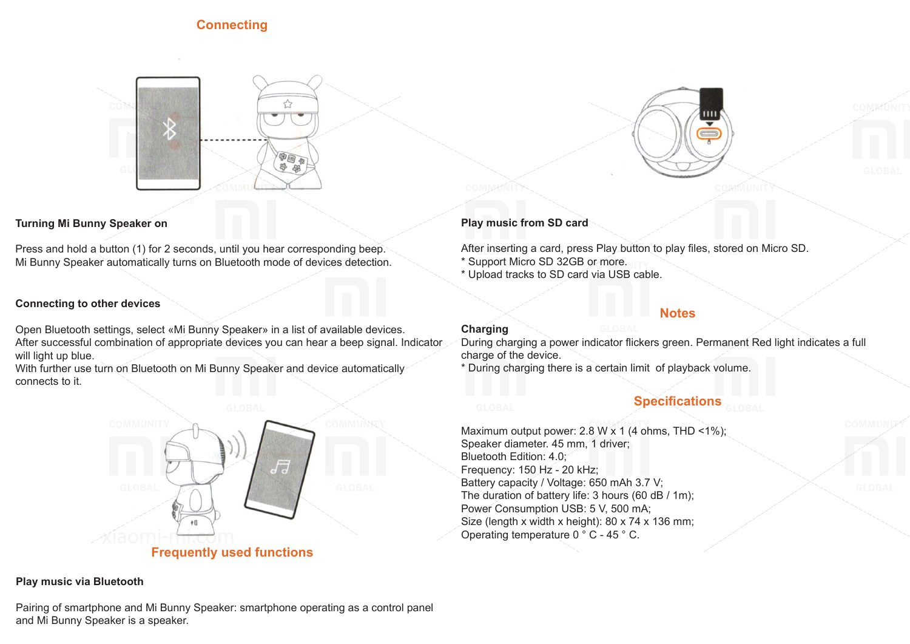# **Connecting**





### **Turning Mi Bunny Speaker on**

Press and hold a button (1) for 2 seconds, until you hear corresponding beep. Mi Bunny Speaker automatically turns on Bluetooth mode of devices detection.

#### **Connecting to other devices**

Open Bluetooth settings, select «Mi Bunny Speaker» in a list of available devices. After successful combination of appropriate devices you can hear a beep signal. Indicator will light up blue.

With further use turn on Bluetooth on Mi Bunny Speaker and device automatically connects to it.



#### **Play music via Bluetooth**

Pairing of smartphone and Mi Bunny Speaker: smartphone operating as a control panel and Mi Bunny Speaker is a speaker.

## **Play music from SD card**

After inserting a card, press Play button to play files, stored on Micro SD.

- \* Support Micro SD 32GB or more.
- \* Upload tracks to SD card via USB cable.

### **Notes**

#### **Charging**

During charging a power indicator flickers green. Permanent Red light indicates a full charge of the device.

\* During charging there is a certain limit of playback volume.

# **Specifications**

Maximum output power: 2.8 W x 1 (4 ohms, THD <1%); Speaker diameter. 45 mm, 1 driver; Bluetooth Edition: 4.0; Frequency: 150 Hz - 20 kHz; Battery capacity / Voltage: 650 mAh 3.7 V; The duration of battery life: 3 hours (60 dB / 1m); Power Consumption USB: 5 V, 500 mA; Size (length x width x height): 80 x 74 x 136 mm; Operating temperature 0 ° C - 45 ° C.